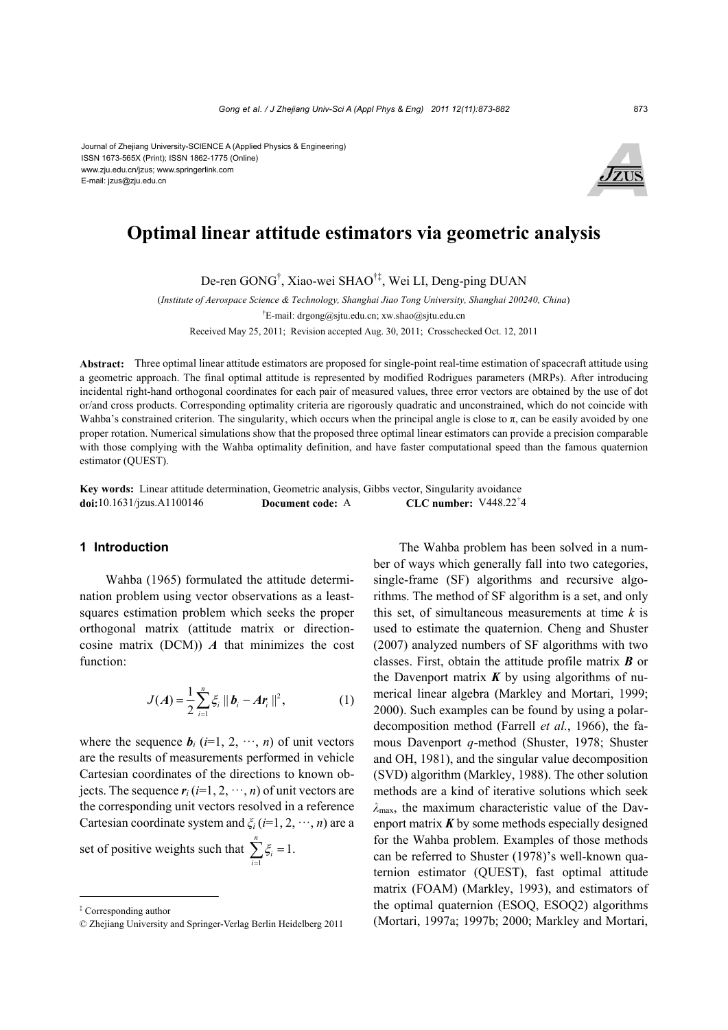Journal of Zhejiang University-SCIENCE A (Applied Physics & Engineering) ISSN 1673-565X (Print); ISSN 1862-1775 (Online) www.zju.edu.cn/jzus; www.springerlink.com E-mail: jzus@zju.edu.cn



# **Optimal linear attitude estimators via geometric analysis**

De-ren GONG† , Xiao-wei SHAO†‡, Wei LI, Deng-ping DUAN

(*Institute of Aerospace Science & Technology, Shanghai Jiao Tong University, Shanghai 200240, China*) † E-mail: drgong@sjtu.edu.cn; xw.shao@sjtu.edu.cn Received May 25, 2011; Revision accepted Aug. 30, 2011; Crosschecked Oct. 12, 2011

**Abstract:** Three optimal linear attitude estimators are proposed for single-point real-time estimation of spacecraft attitude using a geometric approach. The final optimal attitude is represented by modified Rodrigues parameters (MRPs). After introducing incidental right-hand orthogonal coordinates for each pair of measured values, three error vectors are obtained by the use of dot or/and cross products. Corresponding optimality criteria are rigorously quadratic and unconstrained, which do not coincide with Wahba's constrained criterion. The singularity, which occurs when the principal angle is close to  $\pi$ , can be easily avoided by one proper rotation. Numerical simulations show that the proposed three optimal linear estimators can provide a precision comparable with those complying with the Wahba optimality definition, and have faster computational speed than the famous quaternion estimator (QUEST).

**Key words:** Linear attitude determination, Geometric analysis, Gibbs vector, Singularity avoidance **doi:**10.1631/jzus.A1100146 **Document code:** A CLC number: V448.22<sup>+</sup>4

## **1 Introduction**

Wahba (1965) formulated the attitude determination problem using vector observations as a leastsquares estimation problem which seeks the proper orthogonal matrix (attitude matrix or directioncosine matrix (DCM)) *A* that minimizes the cost function:

$$
J(A) = \frac{1}{2} \sum_{i=1}^{n} \xi_i \, ||\, \bm{b}_i - A \bm{r}_i \,||^2, \tag{1}
$$

where the sequence  $\mathbf{b}_i$  (*i*=1, 2,  $\cdots$ , *n*) of unit vectors are the results of measurements performed in vehicle Cartesian coordinates of the directions to known objects. The sequence  $r_i$  ( $i=1, 2, \dots, n$ ) of unit vectors are the corresponding unit vectors resolved in a reference Cartesian coordinate system and *ξi* (*i*=1, 2, ···, *n*) are a

set of positive weights such that  $\sum_{i=1}^{n} \xi_i = 1$ . i⇒ کے<br>i=l  $\zeta_i$  $\sum_{i=1}^{\infty} \xi_i =$ 

The Wahba problem has been solved in a number of ways which generally fall into two categories, single-frame (SF) algorithms and recursive algorithms. The method of SF algorithm is a set, and only this set, of simultaneous measurements at time *k* is used to estimate the quaternion. Cheng and Shuster (2007) analyzed numbers of SF algorithms with two classes. First, obtain the attitude profile matrix *B* or the Davenport matrix  $\boldsymbol{K}$  by using algorithms of numerical linear algebra (Markley and Mortari, 1999; 2000). Such examples can be found by using a polardecomposition method (Farrell *et al.*, 1966), the famous Davenport *q*-method (Shuster, 1978; Shuster and OH, 1981), and the singular value decomposition (SVD) algorithm (Markley, 1988). The other solution methods are a kind of iterative solutions which seek *λ*max, the maximum characteristic value of the Davenport matrix *K* by some methods especially designed for the Wahba problem. Examples of those methods can be referred to Shuster (1978)'s well-known quaternion estimator (QUEST), fast optimal attitude matrix (FOAM) (Markley, 1993), and estimators of the optimal quaternion (ESOQ, ESOQ2) algorithms (Mortari, 1997a; 1997b; 2000; Markley and Mortari,

<sup>‡</sup> Corresponding author

<sup>©</sup> Zhejiang University and Springer-Verlag Berlin Heidelberg 2011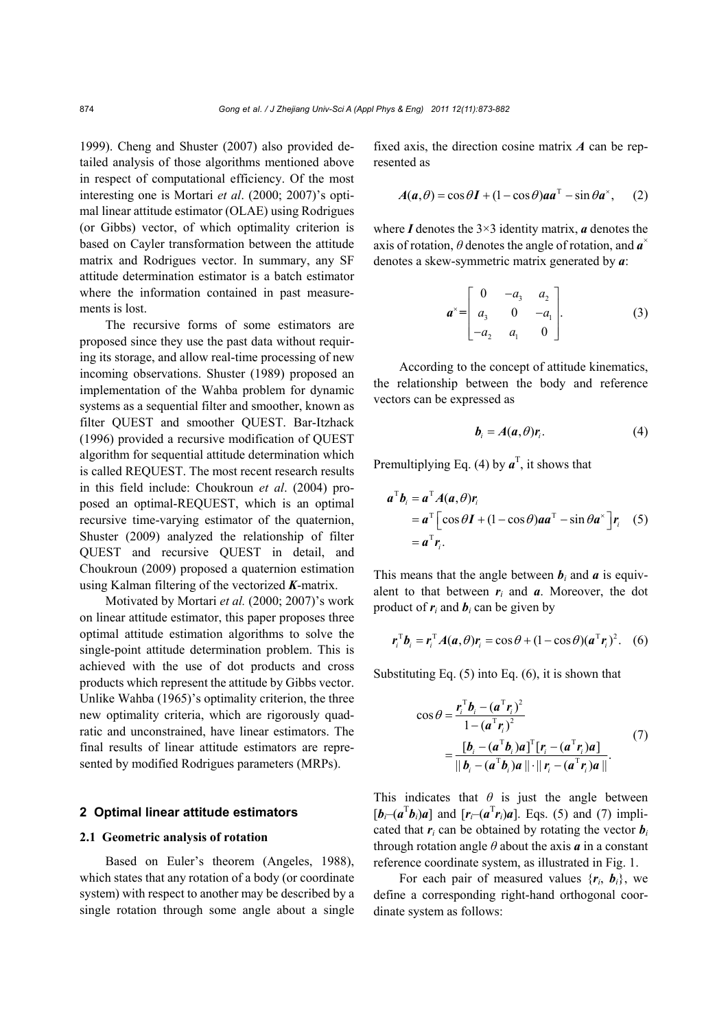1999). Cheng and Shuster (2007) also provided detailed analysis of those algorithms mentioned above in respect of computational efficiency. Of the most interesting one is Mortari *et al*. (2000; 2007)'s optimal linear attitude estimator (OLAE) using Rodrigues (or Gibbs) vector, of which optimality criterion is based on Cayler transformation between the attitude matrix and Rodrigues vector. In summary, any SF attitude determination estimator is a batch estimator where the information contained in past measurements is lost.

The recursive forms of some estimators are proposed since they use the past data without requiring its storage, and allow real-time processing of new incoming observations. Shuster (1989) proposed an implementation of the Wahba problem for dynamic systems as a sequential filter and smoother, known as filter QUEST and smoother QUEST. Bar-Itzhack (1996) provided a recursive modification of QUEST algorithm for sequential attitude determination which is called REQUEST. The most recent research results in this field include: Choukroun *et al*. (2004) proposed an optimal-REQUEST, which is an optimal recursive time-varying estimator of the quaternion, Shuster (2009) analyzed the relationship of filter QUEST and recursive QUEST in detail, and Choukroun (2009) proposed a quaternion estimation using Kalman filtering of the vectorized *K*-matrix.

Motivated by Mortari *et al.* (2000; 2007)'s work on linear attitude estimator, this paper proposes three optimal attitude estimation algorithms to solve the single-point attitude determination problem. This is achieved with the use of dot products and cross products which represent the attitude by Gibbs vector. Unlike Wahba (1965)'s optimality criterion, the three new optimality criteria, which are rigorously quadratic and unconstrained, have linear estimators. The final results of linear attitude estimators are represented by modified Rodrigues parameters (MRPs).

## **2 Optimal linear attitude estimators**

## **2.1 Geometric analysis of rotation**

Based on Euler's theorem (Angeles, 1988), which states that any rotation of a body (or coordinate system) with respect to another may be described by a single rotation through some angle about a single fixed axis, the direction cosine matrix *A* can be represented as

$$
A(a,\theta) = \cos\theta I + (1 - \cos\theta)aa^{\mathrm{T}} - \sin\theta a^{\mathrm{x}}, \quad (2)
$$

where  $I$  denotes the  $3\times 3$  identity matrix,  $\boldsymbol{a}$  denotes the axis of rotation,  $\theta$  denotes the angle of rotation, and  $\mathbf{a}^*$ denotes a skew-symmetric matrix generated by *a*:

$$
\mathbf{a}^{\times} = \begin{bmatrix} 0 & -a_3 & a_2 \\ a_3 & 0 & -a_1 \\ -a_2 & a_1 & 0 \end{bmatrix} . \tag{3}
$$

According to the concept of attitude kinematics, the relationship between the body and reference vectors can be expressed as

$$
\boldsymbol{b}_{i} = \boldsymbol{A}(\boldsymbol{a}, \boldsymbol{\theta}) \boldsymbol{r}_{i}.
$$
 (4)

Premultiplying Eq. (4) by  $a^T$ , it shows that

$$
a^{\mathrm{T}}b_i = a^{\mathrm{T}}A(a,\theta)r_i
$$
  
=  $a^{\mathrm{T}}\left[\cos\theta I + (1-\cos\theta)aa^{\mathrm{T}} - \sin\theta a^{\mathrm{x}}\right]r_i$  (5)  
=  $a^{\mathrm{T}}r_i$ .

This means that the angle between  $b_i$  and  $a$  is equivalent to that between  $r_i$  and  $a$ . Moreover, the dot product of  $r_i$  and  $b_i$  can be given by

$$
\boldsymbol{r}_i^{\mathrm{T}} \boldsymbol{b}_i = \boldsymbol{r}_i^{\mathrm{T}} A(\boldsymbol{a}, \theta) \boldsymbol{r}_i = \cos \theta + (1 - \cos \theta) (\boldsymbol{a}^{\mathrm{T}} \boldsymbol{r}_i)^2. \quad (6)
$$

Substituting Eq.  $(5)$  into Eq.  $(6)$ , it is shown that

$$
\cos \theta = \frac{\mathbf{r}_i^{\mathrm{T}} \mathbf{b}_i - (\mathbf{a}^{\mathrm{T}} \mathbf{r}_i)^2}{1 - (\mathbf{a}^{\mathrm{T}} \mathbf{r}_i)^2}
$$
  
= 
$$
\frac{[\mathbf{b}_i - (\mathbf{a}^{\mathrm{T}} \mathbf{b}_i)\mathbf{a}]^{\mathrm{T}} [\mathbf{r}_i - (\mathbf{a}^{\mathrm{T}} \mathbf{r}_i)\mathbf{a}]}{||\mathbf{b}_i - (\mathbf{a}^{\mathrm{T}} \mathbf{b}_i)\mathbf{a}|| \cdot ||\mathbf{r}_i - (\mathbf{a}^{\mathrm{T}} \mathbf{r}_i)\mathbf{a}||}. \tag{7}
$$

This indicates that  $\theta$  is just the angle between  $[b_i-(a^Tb_i)a]$  and  $[r_i-(a^Tr_i)a]$ . Eqs. (5) and (7) implicated that  $r_i$  can be obtained by rotating the vector  $\boldsymbol{b}_i$ through rotation angle  $\theta$  about the axis  $\boldsymbol{a}$  in a constant reference coordinate system, as illustrated in Fig. 1.

For each pair of measured values  $\{r_i, b_i\}$ , we define a corresponding right-hand orthogonal coordinate system as follows: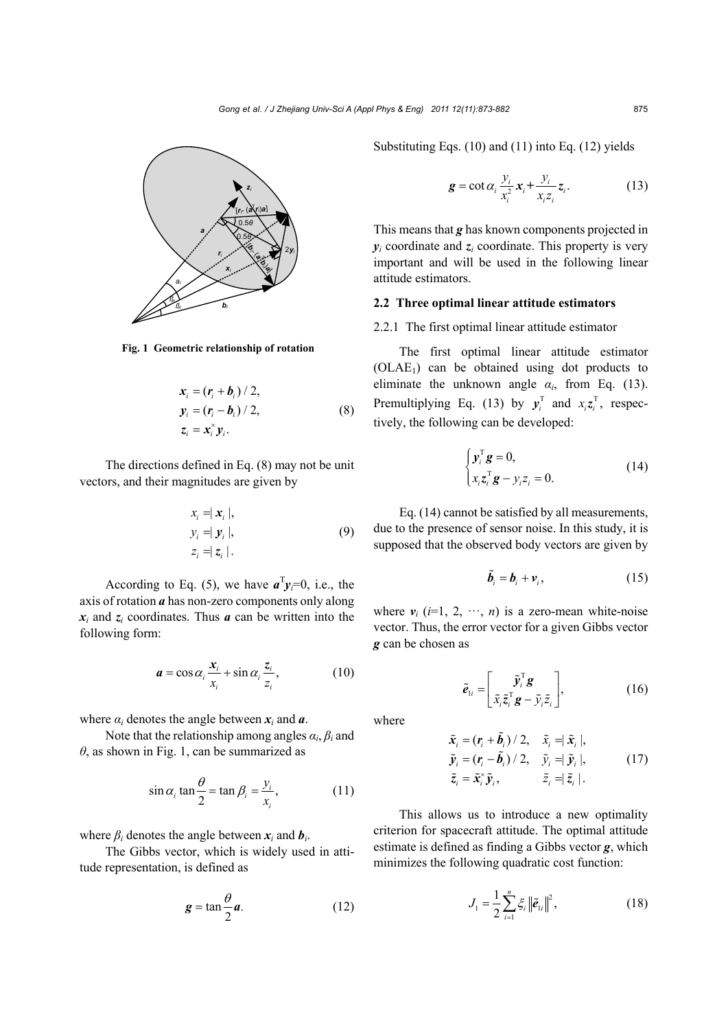

**Fig. 1 Geometric relationship of rotation**

$$
\mathbf{x}_{i} = (\mathbf{r}_{i} + \mathbf{b}_{i}) / 2,
$$
\n
$$
\mathbf{y}_{i} = (\mathbf{r}_{i} - \mathbf{b}_{i}) / 2,
$$
\n
$$
\mathbf{z}_{i} = \mathbf{x}_{i} \mathbf{y}_{i}.
$$
\n(8)

The directions defined in Eq. (8) may not be unit vectors, and their magnitudes are given by

$$
x_i = |\mathbf{x}_i|,
$$
  
\n
$$
y_i = |\mathbf{y}_i|,
$$
  
\n
$$
z_i = |\mathbf{z}_i|.
$$
  
\n(9)

According to Eq. (5), we have  $a^T y_i = 0$ , i.e., the axis of rotation *a* has non-zero components only along  $x_i$  and  $z_i$  coordinates. Thus *a* can be written into the following form:

$$
\boldsymbol{a} = \cos \alpha_i \frac{\boldsymbol{x}_i}{\boldsymbol{x}_i} + \sin \alpha_i \frac{\boldsymbol{z}_i}{\boldsymbol{z}_i},\tag{10}
$$

where  $\alpha_i$  denotes the angle between  $x_i$  and  $\alpha$ .

Note that the relationship among angles  $\alpha_i$ ,  $\beta_i$  and *θ*, as shown in Fig. 1, can be summarized as

$$
\sin \alpha_i \tan \frac{\theta}{2} = \tan \beta_i = \frac{y_i}{x_i},
$$
 (11)

where  $\beta_i$  denotes the angle between  $x_i$  and  $b_i$ .

The Gibbs vector, which is widely used in attitude representation, is defined as

$$
g = \tan \frac{\theta}{2} a. \tag{12}
$$

Substituting Eqs. (10) and (11) into Eq. (12) yields

$$
\mathbf{g} = \cot \alpha_i \frac{y_i}{x_i^2} \mathbf{x}_i + \frac{y_i}{x_i z_i} \mathbf{z}_i.
$$
 (13)

This means that *g* has known components projected in  $y_i$  coordinate and  $z_i$  coordinate. This property is very important and will be used in the following linear attitude estimators.

## **2.2 Three optimal linear attitude estimators**

2.2.1 The first optimal linear attitude estimator

The first optimal linear attitude estimator  $(OLAE<sub>1</sub>)$  can be obtained using dot products to eliminate the unknown angle  $\alpha_i$ , from Eq. (13). Premultiplying Eq. (13) by  $y_i^T$  and  $x_i z_i^T$ , respectively, the following can be developed:

$$
\begin{cases} \mathbf{y}_i^{\mathrm{T}} \mathbf{g} = 0, \\ x_i \mathbf{z}_i^{\mathrm{T}} \mathbf{g} - y_i z_i = 0. \end{cases}
$$
 (14)

Eq. (14) cannot be satisfied by all measurements, due to the presence of sensor noise. In this study, it is supposed that the observed body vectors are given by

$$
\tilde{\boldsymbol{b}}_i = \boldsymbol{b}_i + \boldsymbol{v}_i, \tag{15}
$$

where  $v_i$  ( $i=1, 2, \dots, n$ ) is a zero-mean white-noise vector. Thus, the error vector for a given Gibbs vector *g* can be chosen as

$$
\tilde{\boldsymbol{e}}_{1i} = \begin{bmatrix} \tilde{y}_i^{\mathrm{T}} \boldsymbol{g} \\ \tilde{x}_i \tilde{z}_i^{\mathrm{T}} \boldsymbol{g} - \tilde{y}_i \tilde{z}_i \end{bmatrix},
$$
(16)

where

$$
\tilde{\mathbf{x}}_i = (\mathbf{r}_i + \tilde{\mathbf{b}}_i) / 2, \quad \tilde{\mathbf{x}}_i = |\tilde{\mathbf{x}}_i|, \n\tilde{\mathbf{y}}_i = (\mathbf{r}_i - \tilde{\mathbf{b}}_i) / 2, \quad \tilde{\mathbf{y}}_i = |\tilde{\mathbf{y}}_i|, \n\tilde{\mathbf{z}}_i = \tilde{\mathbf{x}}_i \tilde{\mathbf{y}}_i, \qquad \tilde{\mathbf{z}}_i = |\tilde{\mathbf{z}}_i|.
$$
\n(17)

This allows us to introduce a new optimality criterion for spacecraft attitude. The optimal attitude estimate is defined as finding a Gibbs vector *g*, which minimizes the following quadratic cost function:

$$
J_1 = \frac{1}{2} \sum_{i=1}^{n} \xi_i \|\tilde{\boldsymbol{e}}_{1i}\|^2, \qquad (18)
$$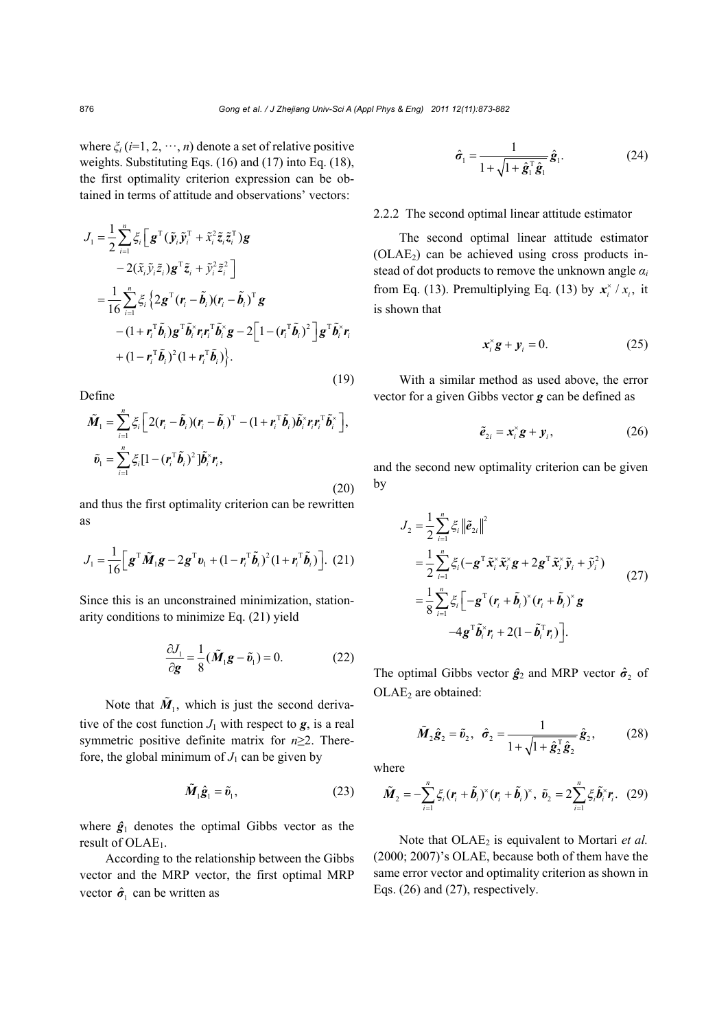where  $\xi_i$  (*i*=1, 2,  $\cdots$ , *n*) denote a set of relative positive weights. Substituting Eqs. (16) and (17) into Eq. (18), the first optimality criterion expression can be obtained in terms of attitude and observations' vectors:

$$
J_{1} = \frac{1}{2} \sum_{i=1}^{n} \xi_{i} \Big[ \mathbf{g}^{\mathrm{T}} (\tilde{\mathbf{y}}_{i} \tilde{\mathbf{y}}_{i}^{\mathrm{T}} + \tilde{\mathbf{x}}_{i}^{2} \tilde{\mathbf{z}}_{i} \tilde{\mathbf{z}}_{i}^{\mathrm{T}}) \mathbf{g}
$$
  
\n
$$
- 2(\tilde{\mathbf{x}}_{i} \tilde{\mathbf{y}}_{i} \tilde{\mathbf{z}}_{i}) \mathbf{g}^{\mathrm{T}} \tilde{\mathbf{z}}_{i} + \tilde{\mathbf{y}}_{i}^{2} \tilde{\mathbf{z}}_{i}^{2} \Big]
$$
  
\n
$$
= \frac{1}{16} \sum_{i=1}^{n} \xi_{i} \left\{ 2 \mathbf{g}^{\mathrm{T}} (\mathbf{r}_{i} - \tilde{\mathbf{b}}_{i}) (\mathbf{r}_{i} - \tilde{\mathbf{b}}_{i})^{\mathrm{T}} \mathbf{g}
$$
  
\n
$$
- (1 + \mathbf{r}_{i}^{\mathrm{T}} \tilde{\mathbf{b}}_{i}) \mathbf{g}^{\mathrm{T}} \tilde{\mathbf{b}}_{i}^{\mathrm{x}} \mathbf{r}_{i} \mathbf{r}_{i}^{\mathrm{T}} \tilde{\mathbf{b}}_{i}^{\mathrm{x}} \mathbf{g} - 2 \Big[ 1 - (\mathbf{r}_{i}^{\mathrm{T}} \tilde{\mathbf{b}}_{i})^{2} \Big] \mathbf{g}^{\mathrm{T}} \tilde{\mathbf{b}}_{i}^{\mathrm{x}} \mathbf{r}_{i}
$$
  
\n
$$
+ (1 - \mathbf{r}_{i}^{\mathrm{T}} \tilde{\mathbf{b}}_{i})^{2} (1 + \mathbf{r}_{i}^{\mathrm{T}} \tilde{\mathbf{b}}_{i}) \Big\}.
$$
  
\n(19)

Define

$$
\tilde{M}_1 = \sum_{i=1}^n \xi_i \left[ 2(r_i - \tilde{b}_i)(r_i - \tilde{b}_i)^T - (1 + r_i^T \tilde{b}_i) \tilde{b}_i^{\times} r_i r_i^T \tilde{b}_i^{\times} \right],
$$
  

$$
\tilde{v}_1 = \sum_{i=1}^n \xi_i [1 - (r_i^T \tilde{b}_i)^2] \tilde{b}_i^{\times} r_i,
$$
\n(20)

and thus the first optimality criterion can be rewritten as

$$
J_1 = \frac{1}{16} \Big[ \mathbf{g}^{\mathrm{T}} \tilde{\mathbf{M}}_1 \mathbf{g} - 2 \mathbf{g}^{\mathrm{T}} \mathbf{v}_1 + (1 - \mathbf{r}_i^{\mathrm{T}} \tilde{\mathbf{b}}_i)^2 (1 + \mathbf{r}_i^{\mathrm{T}} \tilde{\mathbf{b}}_i) \Big]. \tag{21}
$$

Since this is an unconstrained minimization, stationarity conditions to minimize Eq. (21) yield

$$
\frac{\partial J_1}{\partial \mathbf{g}} = \frac{1}{8} (\tilde{\mathbf{M}}_1 \mathbf{g} - \tilde{\mathbf{v}}_1) = 0.
$$
 (22)

Note that  $\tilde{M}_1$ , which is just the second derivative of the cost function  $J_1$  with respect to  $g$ , is a real symmetric positive definite matrix for *n*≥2. Therefore, the global minimum of  $J_1$  can be given by

$$
\tilde{M}_1 \hat{\mathbf{g}}_1 = \tilde{v}_1, \tag{23}
$$

where  $\hat{g}_1$  denotes the optimal Gibbs vector as the result of  $OLAE<sub>1</sub>$ .

According to the relationship between the Gibbs vector and the MRP vector, the first optimal MRP vector  $\hat{\sigma}_1$  can be written as

$$
\hat{\sigma}_1 = \frac{1}{1 + \sqrt{1 + \hat{\mathbf{g}}_1^{\mathrm{T}} \hat{\mathbf{g}}_1}} \hat{\mathbf{g}}_1.
$$
 (24)

## 2.2.2 The second optimal linear attitude estimator

The second optimal linear attitude estimator  $(OLAE<sub>2</sub>)$  can be achieved using cross products instead of dot products to remove the unknown angle *α<sup>i</sup>* from Eq. (13). Premultiplying Eq. (13) by  $\mathbf{x}_i^* / x_i$ , it is shown that

$$
x_i^* \mathbf{g} + \mathbf{y}_i = 0. \tag{25}
$$

With a similar method as used above, the error vector for a given Gibbs vector *g* can be defined as

$$
\tilde{\boldsymbol{e}}_{2i} = \boldsymbol{x}_i^{\times} \boldsymbol{g} + \boldsymbol{y}_i, \tag{26}
$$

and the second new optimality criterion can be given by

$$
J_2 = \frac{1}{2} \sum_{i=1}^n \xi_i ||\tilde{\boldsymbol{e}}_{2i}||^2
$$
  
\n
$$
= \frac{1}{2} \sum_{i=1}^n \xi_i (-\boldsymbol{g}^{\mathrm{T}} \tilde{\boldsymbol{x}}_i^{\times} \tilde{\boldsymbol{x}}_i^{\times} \boldsymbol{g} + 2\boldsymbol{g}^{\mathrm{T}} \tilde{\boldsymbol{x}}_i^{\times} \tilde{\boldsymbol{y}}_i + \tilde{\boldsymbol{y}}_i^2)
$$
  
\n
$$
= \frac{1}{8} \sum_{i=1}^n \xi_i [-\boldsymbol{g}^{\mathrm{T}} (\boldsymbol{r}_i + \tilde{\boldsymbol{b}}_i)^{\times} (\boldsymbol{r}_i + \tilde{\boldsymbol{b}}_i)^{\times} \boldsymbol{g}
$$
  
\n
$$
-4\boldsymbol{g}^{\mathrm{T}} \tilde{\boldsymbol{b}}_i^{\times} \boldsymbol{r}_i + 2(1 - \tilde{\boldsymbol{b}}_i^{\mathrm{T}} \boldsymbol{r}_i)].
$$
\n(27)

The optimal Gibbs vector  $\hat{g}_2$  and MRP vector  $\hat{\sigma}_2$  of OLAE<sub>2</sub> are obtained:

$$
\tilde{M}_2 \hat{\mathbf{g}}_2 = \tilde{\mathbf{v}}_2, \quad \hat{\boldsymbol{\sigma}}_2 = \frac{1}{1 + \sqrt{1 + \hat{\mathbf{g}}_2^{\mathrm{T}} \hat{\mathbf{g}}_2}} \hat{\mathbf{g}}_2, \tag{28}
$$

where

$$
\tilde{\boldsymbol{M}}_2 = -\sum_{i=1}^n \xi_i (\boldsymbol{r}_i + \tilde{\boldsymbol{b}}_i)^{\times} (\boldsymbol{r}_i + \tilde{\boldsymbol{b}}_i)^{\times}, \ \tilde{\boldsymbol{v}}_2 = 2\sum_{i=1}^n \xi_i \tilde{\boldsymbol{b}}_i^{\times} \boldsymbol{r}_i. \tag{29}
$$

Note that OLAE<sub>2</sub> is equivalent to Mortari et al. (2000; 2007)'s OLAE, because both of them have the same error vector and optimality criterion as shown in Eqs. (26) and (27), respectively.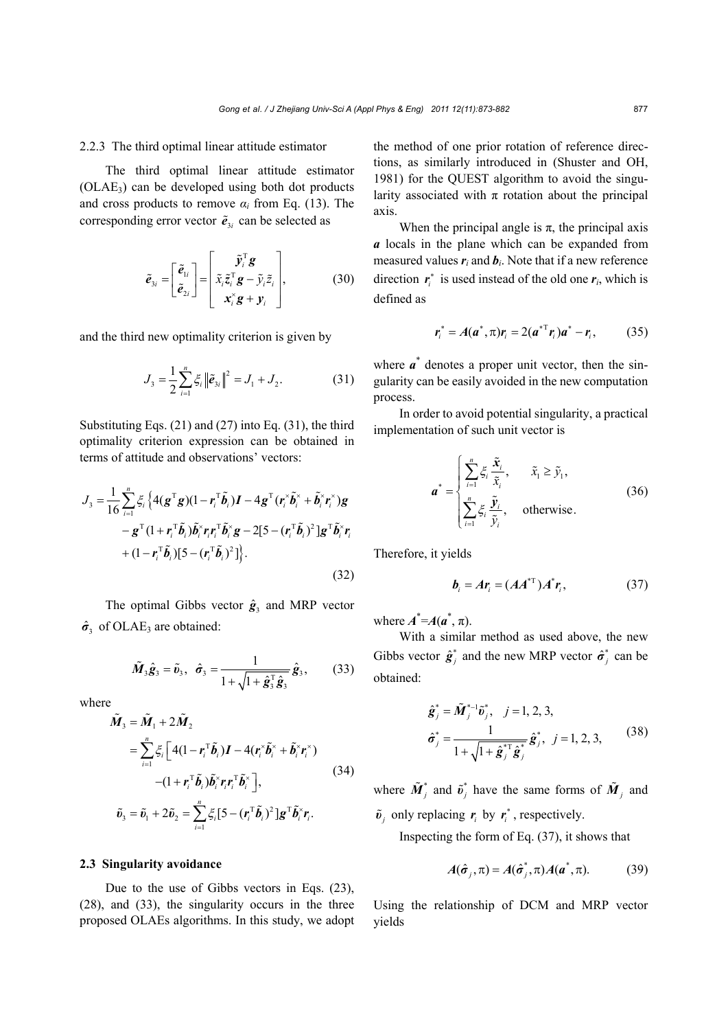#### 2.2.3 The third optimal linear attitude estimator

The third optimal linear attitude estimator  $(OLAE<sub>3</sub>)$  can be developed using both dot products and cross products to remove  $\alpha_i$  from Eq. (13). The corresponding error vector  $\tilde{e}_{3i}$  can be selected as

$$
\tilde{e}_{3i} = \begin{bmatrix} \tilde{e}_{1i} \\ \tilde{e}_{2i} \end{bmatrix} = \begin{bmatrix} \tilde{y}_i^{\mathrm{T}} \mathbf{g} \\ \tilde{x}_i \tilde{z}_i^{\mathrm{T}} \mathbf{g} - \tilde{y}_i \tilde{z}_i \\ \mathbf{x}_i^{\times} \mathbf{g} + \mathbf{y}_i \end{bmatrix},
$$
(30)

and the third new optimality criterion is given by

$$
J_3 = \frac{1}{2} \sum_{i=1}^n \xi_i \left\| \tilde{\boldsymbol{e}}_{3i} \right\|^2 = J_1 + J_2.
$$
 (31)

Substituting Eqs. (21) and (27) into Eq. (31), the third optimality criterion expression can be obtained in terms of attitude and observations' vectors:

$$
J_{3} = \frac{1}{16} \sum_{i=1}^{n} \xi_{i} \left\{ 4(\mathbf{g}^{T} \mathbf{g})(1 - \mathbf{r}_{i}^{T} \tilde{\mathbf{b}}_{i}) \mathbf{I} - 4\mathbf{g}^{T} (\mathbf{r}_{i}^{*} \tilde{\mathbf{b}}_{i}^{*} + \tilde{\mathbf{b}}_{i}^{*} \mathbf{r}_{i}^{*}) \mathbf{g} - \mathbf{g}^{T} (1 + \mathbf{r}_{i}^{T} \tilde{\mathbf{b}}_{i}) \tilde{\mathbf{b}}_{i}^{*} \mathbf{r}_{i} \mathbf{r}_{i}^{T} \tilde{\mathbf{b}}_{i}^{*} \mathbf{g} - 2[5 - (\mathbf{r}_{i}^{T} \tilde{\mathbf{b}}_{i})^{2}] \mathbf{g}^{T} \tilde{\mathbf{b}}_{i}^{*} \mathbf{r}_{i} + (1 - \mathbf{r}_{i}^{T} \tilde{\mathbf{b}}_{i}) [5 - (\mathbf{r}_{i}^{T} \tilde{\mathbf{b}}_{i})^{2}] \right\}.
$$
\n(32)

The optimal Gibbs vector  $\hat{\mathbf{g}}_3$  and MRP vector  $\hat{\sigma}_3$  of OLAE<sub>3</sub> are obtained:

$$
\tilde{M}_3 \hat{\boldsymbol{g}}_3 = \tilde{\boldsymbol{v}}_3, \quad \hat{\boldsymbol{\sigma}}_3 = \frac{1}{1 + \sqrt{1 + \hat{\boldsymbol{g}}_3^{\mathrm{T}} \hat{\boldsymbol{g}}_3}} \hat{\boldsymbol{g}}_3, \quad (33)
$$

where

$$
\tilde{\boldsymbol{M}}_{3} = \tilde{\boldsymbol{M}}_{1} + 2\tilde{\boldsymbol{M}}_{2}
$$
\n
$$
= \sum_{i=1}^{n} \xi_{i} \left[ 4(1 - r_{i}^{T} \tilde{\boldsymbol{b}}_{i}) \boldsymbol{I} - 4(r_{i}^{x} \tilde{\boldsymbol{b}}_{i}^{x} + \tilde{\boldsymbol{b}}_{i}^{x} r_{i}^{x}) - (1 + r_{i}^{T} \tilde{\boldsymbol{b}}_{i}) \tilde{\boldsymbol{b}}_{i}^{x} r_{i} r_{i}^{T} \tilde{\boldsymbol{b}}_{i}^{x} \right],
$$
\n
$$
\tilde{\boldsymbol{v}}_{3} = \tilde{\boldsymbol{v}}_{1} + 2\tilde{\boldsymbol{v}}_{2} = \sum_{i=1}^{n} \xi_{i} \left[ 5 - (r_{i}^{T} \tilde{\boldsymbol{b}}_{i})^{2} \right] \boldsymbol{g}^{T} \tilde{\boldsymbol{b}}_{i}^{x} r_{i}.
$$
\n(34)

#### **2.3 Singularity avoidance**

Due to the use of Gibbs vectors in Eqs. (23), (28), and (33), the singularity occurs in the three proposed OLAEs algorithms. In this study, we adopt the method of one prior rotation of reference directions, as similarly introduced in (Shuster and OH, 1981) for the QUEST algorithm to avoid the singularity associated with  $\pi$  rotation about the principal axis.

When the principal angle is  $\pi$ , the principal axis *a* locals in the plane which can be expanded from measured values  $r_i$  and  $b_i$ . Note that if a new reference direction  $r_i^*$  is used instead of the old one  $r_i$ , which is defined as

$$
r_i^* = A(a^*, \pi) r_i = 2(a^{*T} r_i) a^* - r_i, \qquad (35)
$$

where  $a^*$  denotes a proper unit vector, then the singularity can be easily avoided in the new computation process.

In order to avoid potential singularity, a practical implementation of such unit vector is

$$
\boldsymbol{a}^* = \begin{cases} \sum_{i=1}^n \xi_i \frac{\tilde{\mathbf{x}}_i}{\tilde{\mathbf{x}}_i}, & \tilde{x}_1 \ge \tilde{y}_1, \\ \sum_{i=1}^n \xi_i \frac{\tilde{\mathbf{y}}_i}{\tilde{y}_i}, & \text{otherwise.} \end{cases}
$$
(36)

Therefore, it yields

$$
\boldsymbol{b}_i = A\boldsymbol{r}_i = (A A^{*T}) A^* \boldsymbol{r}_i, \qquad (37)
$$

where  $A^* = A(a^*, \pi)$ .

With a similar method as used above, the new Gibbs vector  $\hat{\mathbf{g}}_i^*$  and the new MRP vector  $\hat{\sigma}_i^*$  can be obtained:

$$
\hat{\mathbf{g}}_{j}^{*} = \tilde{\mathbf{M}}_{j}^{* - 1} \tilde{\mathbf{v}}_{j}^{*}, \quad j = 1, 2, 3,
$$
  

$$
\hat{\sigma}_{j}^{*} = \frac{1}{1 + \sqrt{1 + \hat{\mathbf{g}}_{j}^{* - 1} \hat{\mathbf{g}}_{j}^{*}}} \hat{\mathbf{g}}_{j}^{*}, \quad j = 1, 2, 3,
$$
 (38)

where  $\tilde{M}_{i}^{*}$  and  $\tilde{v}_{i}^{*}$  have the same forms of  $\tilde{M}_{i}$  and  $\tilde{\boldsymbol{v}}_i$  only replacing  $\boldsymbol{r}_i$  by  $\boldsymbol{r}_i^*$ , respectively.

Inspecting the form of Eq. (37), it shows that

$$
A(\hat{\sigma}_j, \pi) = A(\hat{\sigma}_j^*, \pi) A(a^*, \pi). \tag{39}
$$

Using the relationship of DCM and MRP vector yields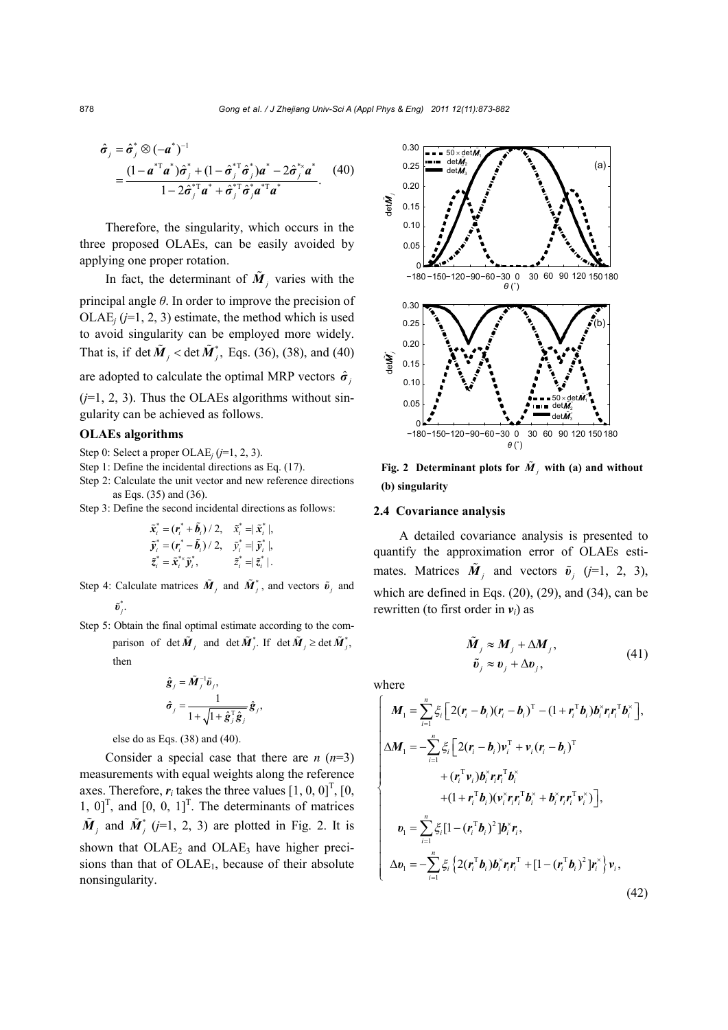$$
\hat{\sigma}_j = \hat{\sigma}_j^* \otimes (-\mathbf{a}^*)^{-1}
$$
  
= 
$$
\frac{(1 - \mathbf{a}^{*\top}\mathbf{a}^*)\hat{\sigma}_j^* + (1 - \hat{\sigma}_j^{*\top}\hat{\sigma}_j^*)\mathbf{a}^* - 2\hat{\sigma}_j^{*\times}\mathbf{a}^*}{1 - 2\hat{\sigma}_j^{*\top}\mathbf{a}^* + \hat{\sigma}_j^{*\top}\hat{\sigma}_j^*\mathbf{a}^{*\top}\mathbf{a}^*}.
$$
 (40)

Therefore, the singularity, which occurs in the three proposed OLAEs, can be easily avoided by applying one proper rotation.

In fact, the determinant of  $\tilde{M}_i$  varies with the principal angle *θ*. In order to improve the precision of  $OLAE<sub>i</sub>$  ( $j=1, 2, 3$ ) estimate, the method which is used to avoid singularity can be employed more widely. That is, if det  $\tilde{M}_i$  < det  $\tilde{M}_i^*$ , Eqs. (36), (38), and (40)

are adopted to calculate the optimal MRP vectors  $\hat{\sigma}$ 

 $(j=1, 2, 3)$ . Thus the OLAEs algorithms without singularity can be achieved as follows.

## **OLAEs algorithms**

- Step 0: Select a proper OLAE*j* (*j*=1, 2, 3).
- Step 1: Define the incidental directions as Eq. (17).
- Step 2: Calculate the unit vector and new reference directions as Eqs. (35) and (36).
- Step 3: Define the second incidental directions as follows:

$$
\tilde{\mathbf{x}}_i^* = (\mathbf{r}_i^* + \tilde{\mathbf{b}}_i) / 2, \quad \tilde{\mathbf{x}}_i^* = \tilde{\mathbf{x}}_i^* |,
$$
\n
$$
\tilde{\mathbf{y}}_i^* = (\mathbf{r}_i^* - \tilde{\mathbf{b}}_i) / 2, \quad \tilde{\mathbf{y}}_i^* = \tilde{\mathbf{y}}_i^* |,
$$
\n
$$
\tilde{\mathbf{z}}_i^* = \tilde{\mathbf{x}}_i^{**} \tilde{\mathbf{y}}_i^*, \qquad \tilde{\mathbf{z}}_i^* = \tilde{\mathbf{z}}_i^{*} |.
$$

- Step 4: Calculate matrices  $\tilde{M}_i$  and  $\tilde{M}_j^*$ , and vectors  $\tilde{v}_i$  and  $\tilde{\bm{v}}_j^*.$
- Step 5: Obtain the final optimal estimate according to the comparison of  $\det \tilde{M}_i$  and  $\det \tilde{M}_i^*$ . If  $\det \tilde{M}_i \geq \det \tilde{M}_i^*$ , then

$$
\begin{aligned} \hat{\pmb{g}}_j &= \tilde{\pmb{M}}_j^{-1} \tilde{\pmb{v}}_j, \\ \hat{\pmb{\sigma}}_j &= \frac{1}{1 + \sqrt{1 + \hat{\pmb{g}}_j^{\mathrm{T}} \hat{\pmb{g}}_j}} \hat{\pmb{g}}_j, \end{aligned}
$$

else do as Eqs. (38) and (40).

Consider a special case that there are  $n(n=3)$ measurements with equal weights along the reference axes. Therefore,  $r_i$  takes the three values  $\begin{bmatrix} 1, 0, 0 \end{bmatrix}^T$ ,  $\begin{bmatrix} 0, 0, 0 \end{bmatrix}$  $[1, 0]$ <sup>T</sup>, and  $[0, 0, 1]$ <sup>T</sup>. The determinants of matrices  $\tilde{M}_j$  and  $\tilde{M}_j^*$  (*j*=1, 2, 3) are plotted in Fig. 2. It is shown that  $OLAE<sub>2</sub>$  and  $OLAE<sub>3</sub>$  have higher precisions than that of  $OLAE<sub>1</sub>$ , because of their absolute nonsingularity.



**Fig. 2 Determinant plots for**  $\tilde{M}$ **, with (a) and without (b) singularity** 

#### **2.4 Covariance analysis**

A detailed covariance analysis is presented to quantify the approximation error of OLAEs estimates. Matrices  $\tilde{M}_i$  and vectors  $\tilde{v}_i$  (*j*=1, 2, 3), which are defined in Eqs. (20), (29), and (34), can be rewritten (to first order in *vi*) as

$$
\widetilde{M}_j \approx M_j + \Delta M_j, \n\widetilde{v}_j \approx v_j + \Delta v_j,
$$
\n(41)

where

$$
\begin{cases}\nM_{1} = \sum_{i=1}^{n} \xi_{i} \left[ 2(r_{i} - b_{i})(r_{i} - b_{i})^{\mathrm{T}} - (1 + r_{i}^{\mathrm{T}}b_{i})b_{i}^{*}r_{i}r_{i}^{\mathrm{T}}b_{i}^{*} \right], \\
\Delta M_{1} = -\sum_{i=1}^{n} \xi_{i} \left[ 2(r_{i} - b_{i})v_{i}^{\mathrm{T}} + v_{i}(r_{i} - b_{i})^{\mathrm{T}} + (r_{i}^{\mathrm{T}}v_{i})b_{i}^{*}r_{i}r_{i}^{\mathrm{T}}b_{i}^{*} + (1 + r_{i}^{\mathrm{T}}b_{i})(v_{i}^{*}r_{i}r_{i}^{\mathrm{T}}b_{i}^{*} + b_{i}^{*}r_{i}r_{i}^{\mathrm{T}}v_{i}^{*}) \right], \\
v_{1} = \sum_{i=1}^{n} \xi_{i} \left[ 1 - (r_{i}^{\mathrm{T}}b_{i})^{2} \right] b_{i}^{*}r_{i}, \\
\Delta v_{1} = -\sum_{i=1}^{n} \xi_{i} \left\{ 2(r_{i}^{\mathrm{T}}b_{i})b_{i}^{*}r_{i}r_{i}^{\mathrm{T}} + \left[ 1 - (r_{i}^{\mathrm{T}}b_{i})^{2} \right]r_{i}^{*} \right\} v_{i},\n\end{cases} \tag{42}
$$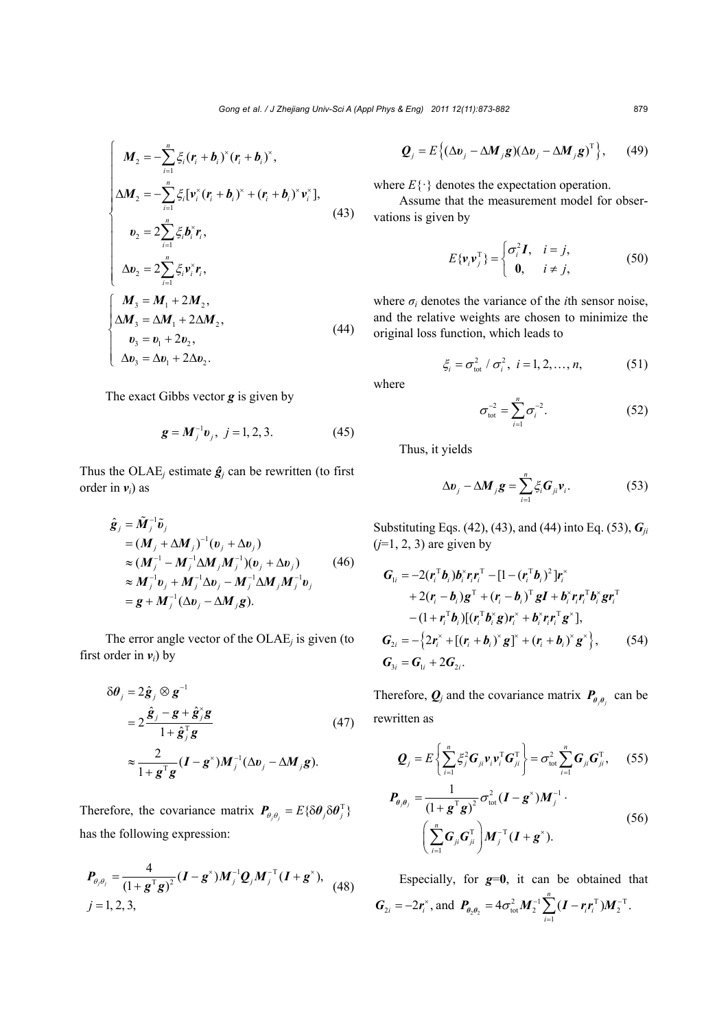$$
\begin{cases}\nM_{2} = -\sum_{i=1}^{n} \xi_{i} (r_{i} + b_{i})^{\times} (r_{i} + b_{i})^{\times}, \\
\Delta M_{2} = -\sum_{i=1}^{n} \xi_{i} [\nu_{i}^{\times} (r_{i} + b_{i})^{\times} + (r_{i} + b_{i})^{\times} \nu_{i}^{\times}], \\
v_{2} = 2 \sum_{i=1}^{n} \xi_{i} b_{i}^{\times} r_{i}, \\
\Delta v_{2} = 2 \sum_{i=1}^{n} \xi_{i} \nu_{i}^{\times} r_{i}, \\
\Delta M_{3} = M_{1} + 2M_{2}, \\
\Delta M_{3} = \Delta M_{1} + 2\Delta M_{2}, \\
v_{3} = v_{1} + 2v_{2}, \\
\Delta v_{3} = \Delta v_{1} + 2\Delta v_{2}.\n\end{cases} (44)
$$

The exact Gibbs vector *g* is given by

$$
g = M_j^{-1} v_j, \ j = 1, 2, 3. \tag{45}
$$

Thus the OLAE<sub>*j*</sub> estimate  $\hat{g}_j$  can be rewritten (to first order in  $v_i$ ) as

$$
\hat{\mathbf{g}}_j = \tilde{\mathbf{M}}_j^{-1} \tilde{\mathbf{v}}_j \n= (\mathbf{M}_j + \Delta \mathbf{M}_j)^{-1} (\mathbf{v}_j + \Delta \mathbf{v}_j) \n\approx (\mathbf{M}_j^{-1} - \mathbf{M}_j^{-1} \Delta \mathbf{M}_j \mathbf{M}_j^{-1}) (\mathbf{v}_j + \Delta \mathbf{v}_j) \n\approx \mathbf{M}_j^{-1} \mathbf{v}_j + \mathbf{M}_j^{-1} \Delta \mathbf{v}_j - \mathbf{M}_j^{-1} \Delta \mathbf{M}_j \mathbf{M}_j^{-1} \mathbf{v}_j \n= \mathbf{g} + \mathbf{M}_j^{-1} (\Delta \mathbf{v}_j - \Delta \mathbf{M}_j \mathbf{g}).
$$
\n(46)

The error angle vector of the OLAE*j* is given (to first order in  $v_i$ ) by

$$
\delta \theta_j = 2 \hat{\mathbf{g}}_j \otimes \mathbf{g}^{-1}
$$
  
=  $2 \frac{\hat{\mathbf{g}}_j - \mathbf{g} + \hat{\mathbf{g}}_j^* \mathbf{g}}{1 + \hat{\mathbf{g}}_j^* \mathbf{g}}$  (47)  

$$
\approx \frac{2}{1 + \mathbf{g}^T \mathbf{g}} (\mathbf{I} - \mathbf{g}^*) \mathbf{M}_j^{-1} (\Delta \mathbf{v}_j - \Delta \mathbf{M}_j \mathbf{g}).
$$

Therefore, the covariance matrix  $P_{\theta, \theta_i} = E \{ \delta \theta_j \delta \theta_j^T \}$ has the following expression:

$$
P_{\theta_j \theta_j} = \frac{4}{(1 + g^{\mathrm{T}} g)^2} (I - g^*) M_j^{-1} Q_j M_j^{-T} (I + g^*),
$$
  
(48)  
 $j = 1, 2, 3,$ 

$$
\mathbf{Q}_{j} = E\left\{ (\Delta \mathbf{v}_{j} - \Delta \mathbf{M}_{j}\mathbf{g})(\Delta \mathbf{v}_{j} - \Delta \mathbf{M}_{j}\mathbf{g})^{\mathrm{T}} \right\},\qquad(49)
$$

where  $E\{\cdot\}$  denotes the expectation operation.

Assume that the measurement model for observations is given by

$$
E\{\mathbf{v}_i\mathbf{v}_j^{\mathrm{T}}\} = \begin{cases} \sigma_i^2 \mathbf{I}, & i = j, \\ \mathbf{0}, & i \neq j, \end{cases} \tag{50}
$$

where  $\sigma_i$  denotes the variance of the *i*th sensor noise, and the relative weights are chosen to minimize the original loss function, which leads to

$$
\xi_i = \sigma_{\text{tot}}^2 / \sigma_i^2, \ i = 1, 2, ..., n,
$$
\n(51)

where

$$
\sigma_{\text{tot}}^{-2} = \sum_{i=1}^{n} \sigma_i^{-2}.
$$
 (52)

Thus, it yields

$$
\Delta v_j - \Delta M_j g = \sum_{i=1}^n \xi_i G_{ji} v_i.
$$
 (53)

Substituting Eqs. (42), (43), and (44) into Eq. (53), *Gji*  $(j=1, 2, 3)$  are given by

$$
G_{1i} = -2(r_i^T b_i) b_i^{\times} r_i r_i^T - [1 - (r_i^T b_i)^2] r_i^{\times} + 2(r_i - b_i) g^T + (r_i - b_i)^T g I + b_i^{\times} r_i r_i^T b_i^{\times} g r_i^T - (1 + r_i^T b_i) [(r_i^T b_i^{\times} g) r_i^{\times} + b_i^{\times} r_i r_i^T g^{\times}], G_{2i} = -\{2r_i^{\times} + [(r_i + b_i)^{\times} g]^{\times} + (r_i + b_i)^{\times} g^{\times}\}, \qquad (54) G_{3i} = G_{1i} + 2G_{2i}.
$$

Therefore,  $Q_j$  and the covariance matrix  $P_{\theta,\theta_j}$  can be rewritten as

$$
\boldsymbol{Q}_{j} = E\left\{\sum_{i=1}^{n} \xi_{j}^{2} \boldsymbol{G}_{ji} \boldsymbol{v}_{i} \boldsymbol{v}_{i}^{T} \boldsymbol{G}_{ji}^{T}\right\} = \sigma_{\text{tot}}^{2} \sum_{i=1}^{n} \boldsymbol{G}_{ji} \boldsymbol{G}_{ji}^{T}, \qquad (55)
$$

$$
\boldsymbol{P}_{\boldsymbol{\theta},\boldsymbol{\theta}_j} = \frac{1}{\left(1 + \boldsymbol{g}^{\mathrm{T}} \boldsymbol{g}\right)^2} \sigma_{\mathrm{tot}}^2 (\boldsymbol{I} - \boldsymbol{g}^{\times}) \boldsymbol{M}_j^{-1} \cdot \left(\sum_{i=1}^n \boldsymbol{G}_{ji} \boldsymbol{G}_{ji}^{\mathrm{T}}\right) \boldsymbol{M}_j^{-\mathrm{T}} (\boldsymbol{I} + \boldsymbol{g}^{\times}).
$$
\n(56)

Especially, for  $g=0$ , it can be obtained that  $G_{2i} = -2r_i^*$ , and  $P_{\theta_2\theta_2} = 4\sigma_{tot}^2 M_2^{-1} \sum_{i=1} (I - r_i r_i^T) M_2^{-T}$  $4\sigma_{\rm tot}^2 M_2^{-1} \sum^n (I - r_i r_i^{\rm T}) M_2^{-{\rm T}}$ .  $\sum_{i=1}$ <sup>(*i*</sup> *i*<sup>*i*</sup><sub>*i*</sub>*i*)  $\sigma_{\nu}^2 M_2^{-1} \sum (I - r r^T) M_2^{-1}$  $P_{\theta_2 \theta_2} = 4 \sigma_{\text{tot}}^2 M_2^{-1} \sum_{i=1}^{N} (I - r_i r_i^{\text{T}}) M$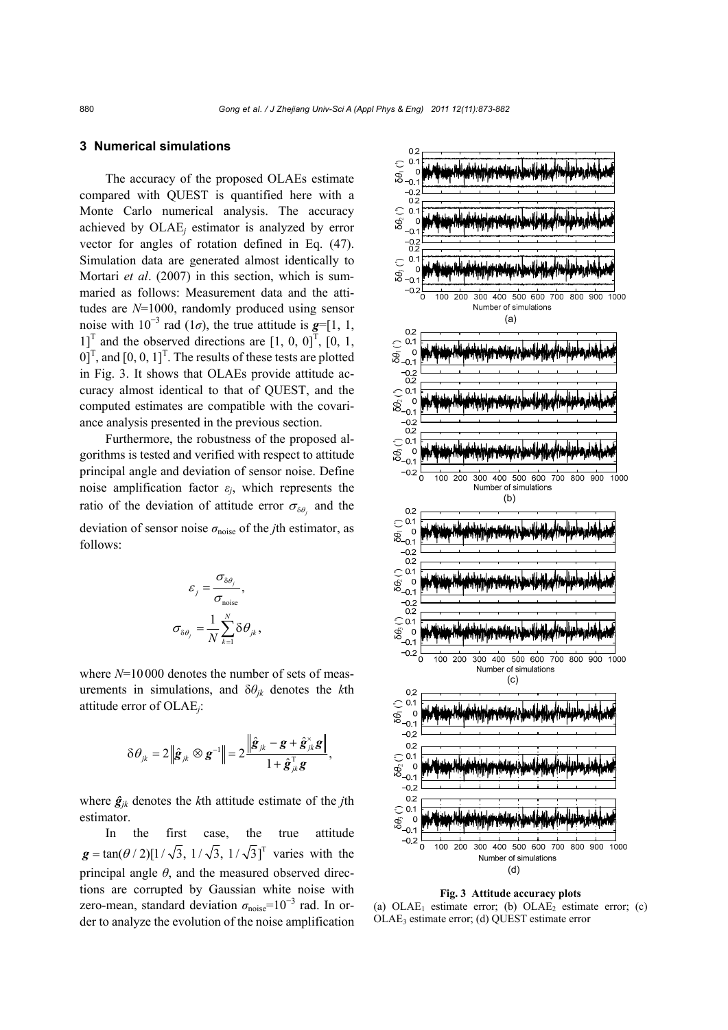## **3 Numerical simulations**

The accuracy of the proposed OLAEs estimate compared with QUEST is quantified here with a Monte Carlo numerical analysis. The accuracy achieved by OLAE*j* estimator is analyzed by error vector for angles of rotation defined in Eq. (47). Simulation data are generated almost identically to Mortari *et al*. (2007) in this section, which is summaried as follows: Measurement data and the attitudes are *N*=1000, randomly produced using sensor noise with  $10^{-3}$  rad ( $1\sigma$ ), the true attitude is  $g=[1, 1, 1]$  $1$ <sup>T</sup> and the observed directions are [1, 0, 0]<sup>T</sup>, [0, 1,  $[0, 0, 1]^T$ , and  $[0, 0, 1]^T$ . The results of these tests are plotted in Fig. 3. It shows that OLAEs provide attitude accuracy almost identical to that of QUEST, and the computed estimates are compatible with the covariance analysis presented in the previous section.

Furthermore, the robustness of the proposed algorithms is tested and verified with respect to attitude principal angle and deviation of sensor noise. Define noise amplification factor  $\varepsilon_i$ , which represents the ratio of the deviation of attitude error  $\sigma_{\delta\theta}$  and the deviation of sensor noise  $\sigma_{noise}$  of the *j*th estimator, as follows:

$$
\varepsilon_{j} = \frac{\sigma_{\delta\theta_{j}}}{\sigma_{\text{noise}}},
$$

$$
\sigma_{\delta\theta_{j}} = \frac{1}{N} \sum_{k=1}^{N} \delta\theta_{jk},
$$

where  $N=10000$  denotes the number of sets of measurements in simulations, and  $\delta\theta_{ik}$  denotes the *k*th attitude error of OLAE*j*:

$$
\delta \theta_{jk} = 2 \left\| \hat{\boldsymbol{g}}_{jk} \otimes \boldsymbol{g}^{-1} \right\| = 2 \frac{\left\| \hat{\boldsymbol{g}}_{jk} - \boldsymbol{g} + \hat{\boldsymbol{g}}_{jk}^{\times} \boldsymbol{g} \right\|}{1 + \hat{\boldsymbol{g}}_{jk}^{\mathrm{T}} \boldsymbol{g}},
$$

where  $\hat{g}_{ik}$  denotes the *k*th attitude estimate of the *j*th estimator.

In the first case, the true attitude  $g = \tan(\theta/2)[1/\sqrt{3}, 1/\sqrt{3}, 1/\sqrt{3}]^T$  varies with the principal angle  $\theta$ , and the measured observed directions are corrupted by Gaussian white noise with zero-mean, standard deviation  $\sigma_{noise}$ =10<sup>-3</sup> rad. In order to analyze the evolution of the noise amplification



**Fig. 3 Attitude accuracy plots** 

(a)  $OLAE_1$  estimate error; (b)  $OLAE_2$  estimate error; (c) OLAE3 estimate error; (d) QUEST estimate error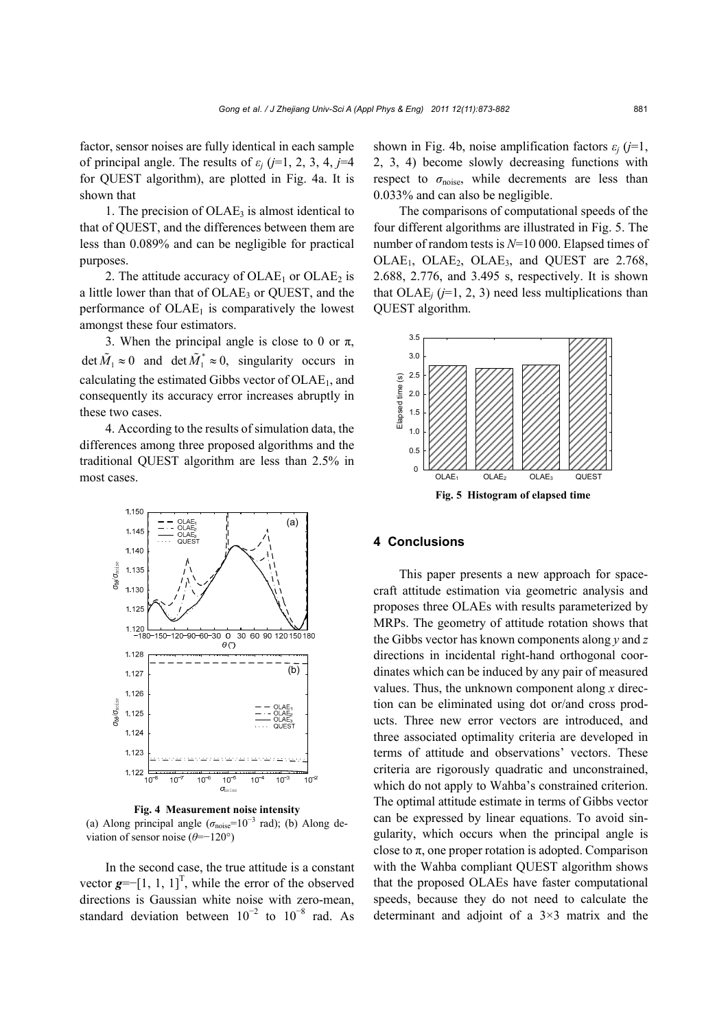factor, sensor noises are fully identical in each sample of principal angle. The results of  $\varepsilon_i$  ( $j=1, 2, 3, 4, j=4$ for QUEST algorithm), are plotted in Fig. 4a. It is shown that

1. The precision of  $OLAE<sub>3</sub>$  is almost identical to that of QUEST, and the differences between them are less than 0.089% and can be negligible for practical purposes.

2. The attitude accuracy of  $OLAE_1$  or  $OLAE_2$  is a little lower than that of  $OLAE<sub>3</sub>$  or QUEST, and the performance of  $OLAE<sub>1</sub>$  is comparatively the lowest amongst these four estimators.

3. When the principal angle is close to 0 or  $\pi$ , det  $\tilde{M}_1 \approx 0$  and  $\det \tilde{M}_1^* \approx 0$ , singularity occurs in calculating the estimated Gibbs vector of  $OLAE<sub>1</sub>$ , and consequently its accuracy error increases abruptly in these two cases.

4. According to the results of simulation data, the differences among three proposed algorithms and the traditional QUEST algorithm are less than 2.5% in most cases.



**Fig. 4 Measurement noise intensity**  (a) Along principal angle ( $\sigma_{noise}$ =10<sup>-3</sup> rad); (b) Along deviation of sensor noise (*θ*=−120°)

In the second case, the true attitude is a constant vector  $g$ =−[1, 1, 1]<sup>T</sup>, while the error of the observed directions is Gaussian white noise with zero-mean, standard deviation between  $10^{-2}$  to  $10^{-8}$  rad. As shown in Fig. 4b, noise amplification factors  $\varepsilon_i$  ( $j=1$ , 2, 3, 4) become slowly decreasing functions with respect to *σ*noise, while decrements are less than 0.033% and can also be negligible.

The comparisons of computational speeds of the four different algorithms are illustrated in Fig. 5. The number of random tests is *N*=10 000. Elapsed times of OLAE<sub>1</sub>, OLAE<sub>2</sub>, OLAE<sub>3</sub>, and QUEST are 2.768, 2.688, 2.776, and 3.495 s, respectively. It is shown that  $OLAE$ *<sub>i</sub>* ( $j=1, 2, 3$ ) need less multiplications than QUEST algorithm.



## **4 Conclusions**

This paper presents a new approach for spacecraft attitude estimation via geometric analysis and proposes three OLAEs with results parameterized by MRPs. The geometry of attitude rotation shows that the Gibbs vector has known components along *y* and *z* directions in incidental right-hand orthogonal coordinates which can be induced by any pair of measured values. Thus, the unknown component along *x* direction can be eliminated using dot or/and cross products. Three new error vectors are introduced, and three associated optimality criteria are developed in terms of attitude and observations' vectors. These criteria are rigorously quadratic and unconstrained, which do not apply to Wahba's constrained criterion. The optimal attitude estimate in terms of Gibbs vector can be expressed by linear equations. To avoid singularity, which occurs when the principal angle is close to  $\pi$ , one proper rotation is adopted. Comparison with the Wahba compliant QUEST algorithm shows that the proposed OLAEs have faster computational speeds, because they do not need to calculate the determinant and adjoint of a 3×3 matrix and the